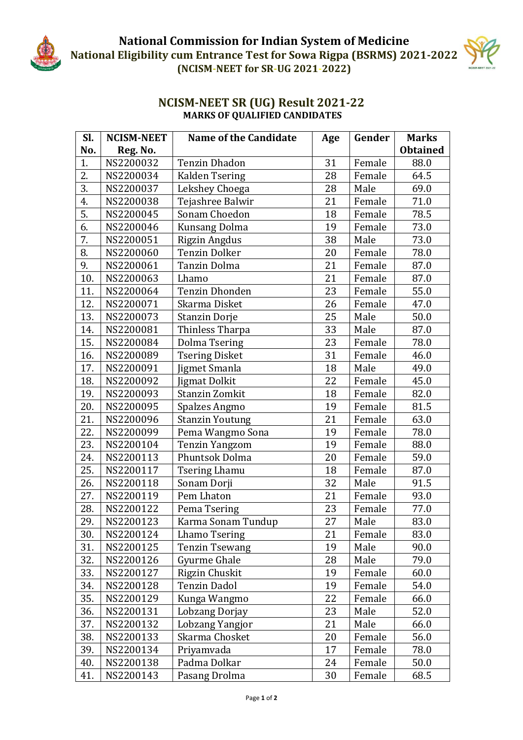

## **NCISM-NEET SR (UG) Result 2021-22 MARKS OF QUALIFIED CANDIDATES**

| SI. | <b>NCISM-NEET</b> | <b>Name of the Candidate</b> | Age | Gender | <b>Marks</b>    |
|-----|-------------------|------------------------------|-----|--------|-----------------|
| No. | Reg. No.          |                              |     |        | <b>Obtained</b> |
| 1.  | NS2200032         | <b>Tenzin Dhadon</b>         | 31  | Female | 88.0            |
| 2.  | NS2200034         | Kalden Tsering               | 28  | Female | 64.5            |
| 3.  | NS2200037         | Lekshey Choega               | 28  | Male   | 69.0            |
| 4.  | NS2200038         | Tejashree Balwir             | 21  | Female | 71.0            |
| 5.  | NS2200045         | Sonam Choedon                | 18  | Female | 78.5            |
| 6.  | NS2200046         | <b>Kunsang Dolma</b>         | 19  | Female | 73.0            |
| 7.  | NS2200051         | Rigzin Angdus                | 38  | Male   | 73.0            |
| 8.  | NS2200060         | <b>Tenzin Dolker</b>         | 20  | Female | 78.0            |
| 9.  | NS2200061         | Tanzin Dolma                 | 21  | Female | 87.0            |
| 10. | NS2200063         | Lhamo                        | 21  | Female | 87.0            |
| 11. | NS2200064         | <b>Tenzin Dhonden</b>        | 23  | Female | 55.0            |
| 12. | NS2200071         | Skarma Disket                | 26  | Female | 47.0            |
| 13. | NS2200073         | <b>Stanzin Dorje</b>         | 25  | Male   | 50.0            |
| 14. | NS2200081         | Thinless Tharpa              | 33  | Male   | 87.0            |
| 15. | NS2200084         | <b>Dolma Tsering</b>         | 23  | Female | 78.0            |
| 16. | NS2200089         | <b>Tsering Disket</b>        | 31  | Female | 46.0            |
| 17. | NS2200091         | Jigmet Smanla                | 18  | Male   | 49.0            |
| 18. | NS2200092         | <b>Jigmat Dolkit</b>         | 22  | Female | 45.0            |
| 19. | NS2200093         | Stanzin Zomkit               | 18  | Female | 82.0            |
| 20. | NS2200095         | Spalzes Angmo                | 19  | Female | 81.5            |
| 21. | NS2200096         | <b>Stanzin Youtung</b>       | 21  | Female | 63.0            |
| 22. | NS2200099         | Pema Wangmo Sona             | 19  | Female | 78.0            |
| 23. | NS2200104         | <b>Tenzin Yangzom</b>        | 19  | Female | 88.0            |
| 24. | NS2200113         | Phuntsok Dolma               | 20  | Female | 59.0            |
| 25. | NS2200117         | <b>Tsering Lhamu</b>         | 18  | Female | 87.0            |
| 26. | NS2200118         | Sonam Dorji                  | 32  | Male   | 91.5            |
| 27. | NS2200119         | Pem Lhaton                   | 21  | Female | 93.0            |
| 28. | NS2200122         | Pema Tsering                 | 23  | Female | 77.0            |
| 29. | NS2200123         | Karma Sonam Tundup           | 27  | Male   | 83.0            |
| 30. | NS2200124         | <b>Lhamo Tsering</b>         | 21  | Female | 83.0            |
| 31. | NS2200125         | <b>Tenzin Tsewang</b>        | 19  | Male   | 90.0            |
| 32. | NS2200126         | Gyurme Ghale                 | 28  | Male   | 79.0            |
| 33. | NS2200127         | Rigzin Chuskit               | 19  | Female | 60.0            |
| 34. | NS2200128         | Tenzin Dadol                 | 19  | Female | 54.0            |
| 35. | NS2200129         | Kunga Wangmo                 | 22  | Female | 66.0            |
| 36. | NS2200131         | Lobzang Dorjay               | 23  | Male   | 52.0            |
| 37. | NS2200132         | Lobzang Yangjor              | 21  | Male   | 66.0            |
| 38. | NS2200133         | Skarma Chosket               | 20  | Female | 56.0            |
| 39. | NS2200134         | Priyamvada                   | 17  | Female | 78.0            |
| 40. | NS2200138         | Padma Dolkar                 | 24  | Female | 50.0            |
| 41. | NS2200143         | Pasang Drolma                | 30  | Female | 68.5            |